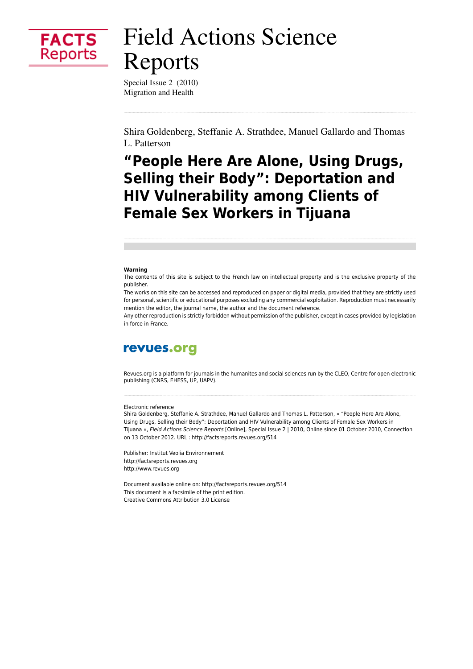

# **Field Actions Science** Reports

Special Issue 2 (2010) Migration and Health

Shira Goldenberg, Steffanie A. Strathdee, Manuel Gallardo and Thomas L. Patterson

# "People Here Are Alone, Using Drugs, **Selling their Body": Deportation and HIV Vulnerability among Clients of Female Sex Workers in Tijuana**

#### Warning

The contents of this site is subject to the French law on intellectual property and is the exclusive property of the nublisher

The works on this site can be accessed and reproduced on paper or digital media, provided that they are strictly used for personal, scientific or educational purposes excluding any commercial exploitation. Reproduction must necessarily mention the editor, the journal name, the author and the document reference.

Any other reproduction is strictly forbidden without permission of the publisher, except in cases provided by legislation in force in France.

# revues.org

Revues.org is a platform for journals in the humanites and social sciences run by the CLEO, Centre for open electronic publishing (CNRS, EHESS, UP, UAPV).

#### Electronic reference

Shira Goldenberg, Steffanie A. Strathdee, Manuel Gallardo and Thomas L. Patterson, « "People Here Are Alone, Using Drugs, Selling their Body": Deportation and HIV Vulnerability among Clients of Female Sex Workers in Tijuana », Field Actions Science Reports [Online], Special Issue 2 | 2010, Online since 01 October 2010, Connection on 13 October 2012. URL : http://factsreports.revues.org/514

Publisher: Institut Veolia Environnement http://factsreports.revues.org http://www.revues.org

Document available online on: http://factsreports.revues.org/514 This document is a facsimile of the print edition. Creative Commons Attribution 3.0 License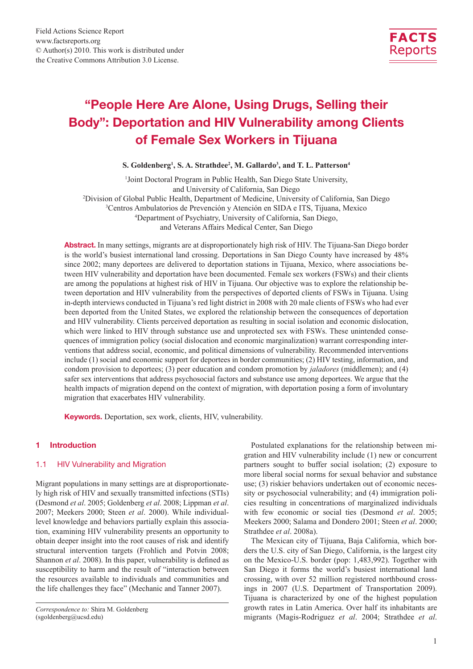# "People Here Are Alone, Using Drugs, Selling their Body": Deportation and HIV Vulnerability among Clients of Female Sex Workers in Tijuana

**S. Goldenberg1 , S. A. Strathdee2 , M. Gallardo3 , and T. L. Patterson4**

 Joint Doctoral Program in Public Health, San Diego State University, and University of California, San Diego Division of Global Public Health, Department of Medicine, University of California, San Diego Centros Ambulatorios de Prevención y Atención en SIDA e ITS, Tijuana, Mexico Department of Psychiatry, University of California, San Diego, and Veterans Affairs Medical Center, San Diego

Abstract. In many settings, migrants are at disproportionately high risk of HIV. The Tijuana-San Diego border is the world's busiest international land crossing. Deportations in San Diego County have increased by 48% since 2002; many deportees are delivered to deportation stations in Tijuana, Mexico, where associations between HIV vulnerability and deportation have been documented. Female sex workers (FSWs) and their clients are among the populations at highest risk of HIV in Tijuana. Our objective was to explore the relationship between deportation and HIV vulnerability from the perspectives of deported clients of FSWs in Tijuana. Using in-depth interviews conducted in Tijuana's red light district in 2008 with 20 male clients of FSWs who had ever been deported from the United States, we explored the relationship between the consequences of deportation and HIV vulnerability. Clients perceived deportation as resulting in social isolation and economic dislocation, which were linked to HIV through substance use and unprotected sex with FSWs. These unintended consequences of immigration policy (social dislocation and economic marginalization) warrant corresponding interventions that address social, economic, and political dimensions of vulnerability. Recommended interventions include (1) social and economic support for deportees in border communities; (2) HIV testing, information, and condom provision to deportees; (3) peer education and condom promotion by *jaladores* (middlemen); and (4) safer sex interventions that address psychosocial factors and substance use among deportees. We argue that the health impacts of migration depend on the context of migration, with deportation posing a form of involuntary migration that exacerbates HIV vulnerability.

Keywords. Deportation, sex work, clients, HIV, vulnerability.

#### 1 Introduction

#### 1.1 HIV Vulnerability and Migration

Migrant populations in many settings are at disproportionately high risk of HIV and sexually transmitted infections (STIs) (Desmond *et al*. 2005; Goldenberg *et al*. 2008; Lippman *et al*. 2007; Meekers 2000; Steen *et al*. 2000). While individuallevel knowledge and behaviors partially explain this association, examining HIV vulnerability presents an opportunity to obtain deeper insight into the root causes of risk and identify structural intervention targets (Frohlich and Potvin 2008; Shannon *et al*. 2008). In this paper, vulnerability is defined as susceptibility to harm and the result of "interaction between the resources available to individuals and communities and the life challenges they face" (Mechanic and Tanner 2007).

*Correspondence to:* Shira M. Goldenberg (sgoldenberg@ucsd.edu)

Postulated explanations for the relationship between migration and HIV vulnerability include (1) new or concurrent partners sought to buffer social isolation; (2) exposure to more liberal social norms for sexual behavior and substance use; (3) riskier behaviors undertaken out of economic necessity or psychosocial vulnerability; and (4) immigration policies resulting in concentrations of marginalized individuals with few economic or social ties (Desmond *et al*. 2005; Meekers 2000; Salama and Dondero 2001; Steen *et al*. 2000; Strathdee *et al*. 2008a).

The Mexican city of Tijuana, Baja California, which borders the U.S. city of San Diego, California, is the largest city on the Mexico-U.S. border (pop: 1,483,992). Together with San Diego it forms the world's busiest international land crossing, with over 52 million registered northbound crossings in 2007 (U.S. Department of Transportation 2009). Tijuana is characterized by one of the highest population growth rates in Latin America. Over half its inhabitants are migrants (Magis-Rodriguez *et al*. 2004; Strathdee *et al*.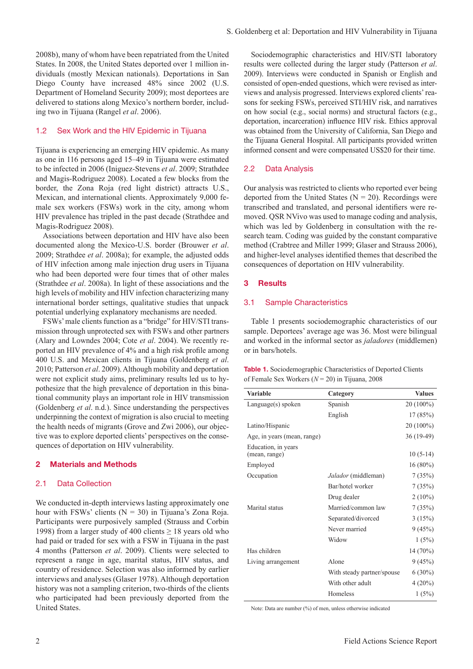2008b), many of whom have been repatriated from the United States. In 2008, the United States deported over 1 million individuals (mostly Mexican nationals). Deportations in San Diego County have increased 48% since 2002 (U.S. Department of Homeland Security 2009); most deportees are delivered to stations along Mexico's northern border, including two in Tijuana (Rangel *et al*. 2006).

# 1.2 Sex Work and the HIV Epidemic in Tijuana

Tijuana is experiencing an emerging HIV epidemic. As many as one in 116 persons aged 15–49 in Tijuana were estimated to be infected in 2006 (Iniguez-Stevens *et al*. 2009; Strathdee and Magis-Rodriguez 2008). Located a few blocks from the border, the Zona Roja (red light district) attracts U.S., Mexican, and international clients. Approximately 9,000 female sex workers (FSWs) work in the city, among whom HIV prevalence has tripled in the past decade (Strathdee and Magis-Rodriguez 2008).

Associations between deportation and HIV have also been documented along the Mexico-U.S. border (Brouwer *et al*. 2009; Strathdee *et al*. 2008a); for example, the adjusted odds of HIV infection among male injection drug users in Tijuana who had been deported were four times that of other males (Strathdee *et al*. 2008a). In light of these associations and the high levels of mobility and HIV infection characterizing many international border settings, qualitative studies that unpack potential underlying explanatory mechanisms are needed.

FSWs' male clients function as a "bridge" for HIV/STI transmission through unprotected sex with FSWs and other partners (Alary and Lowndes 2004; Cote *et al*. 2004). We recently reported an HIV prevalence of 4% and a high risk profile among 400 U.S. and Mexican clients in Tijuana (Goldenberg *et al*. 2010; Patterson *et al*. 2009). Although mobility and deportation were not explicit study aims, preliminary results led us to hypothesize that the high prevalence of deportation in this binational community plays an important role in HIV transmission (Goldenberg *et al*. n.d.). Since understanding the perspectives underpinning the context of migration is also crucial to meeting the health needs of migrants (Grove and Zwi 2006), our objective was to explore deported clients' perspectives on the consequences of deportation on HIV vulnerability.

#### 2 Materials and Methods

#### 2.1 Data Collection

We conducted in-depth interviews lasting approximately one hour with FSWs' clients  $(N = 30)$  in Tijuana's Zona Roja. Participants were purposively sampled (Strauss and Corbin 1998) from a larger study of 400 clients  $\geq$  18 years old who had paid or traded for sex with a FSW in Tijuana in the past 4 months (Patterson *et al*. 2009). Clients were selected to represent a range in age, marital status, HIV status, and country of residence. Selection was also informed by earlier interviews and analyses (Glaser 1978). Although deportation history was not a sampling criterion, two-thirds of the clients who participated had been previously deported from the United States.

Sociodemographic characteristics and HIV/STI laboratory results were collected during the larger study (Patterson *et al*. 2009). Interviews were conducted in Spanish or English and consisted of open-ended questions, which were revised as interviews and analysis progressed. Interviews explored clients' reasons for seeking FSWs, perceived STI/HIV risk, and narratives on how social (e.g., social norms) and structural factors (e.g., deportation, incarceration) influence HIV risk. Ethics approval was obtained from the University of California, San Diego and the Tijuana General Hospital. All participants provided written informed consent and were compensated US\$20 for their time.

#### 2.2 Data Analysis

Our analysis was restricted to clients who reported ever being deported from the United States ( $N = 20$ ). Recordings were transcribed and translated, and personal identifiers were removed. QSR NVivo was used to manage coding and analysis, which was led by Goldenberg in consultation with the research team. Coding was guided by the constant comparative method (Crabtree and Miller 1999; Glaser and Strauss 2006), and higher-level analyses identified themes that described the consequences of deportation on HIV vulnerability.

### 3 Results

#### 3.1 Sample Characteristics

Table 1 presents sociodemographic characteristics of our sample. Deportees' average age was 36. Most were bilingual and worked in the informal sector as *jaladores* (middlemen) or in bars/hotels.

Table 1. Sociodemographic Characteristics of Deported Clients of Female Sex Workers (*N* = 20) in Tijuana, 2008

| <b>Variable</b>                      | Category                   | <b>Values</b> |
|--------------------------------------|----------------------------|---------------|
| Language(s) spoken                   | Spanish                    | 20 (100%)     |
|                                      | English                    | 17(85%)       |
| Latino/Hispanic                      |                            | 20 (100%)     |
| Age, in years (mean, range)          |                            | 36 (19-49)    |
| Education, in years<br>(mean, range) |                            | $10(5-14)$    |
| Employed                             |                            | $16(80\%)$    |
| Occupation                           | Jalador (middleman)        | 7(35%)        |
|                                      | Bar/hotel worker           | 7(35%)        |
|                                      | Drug dealer                | $2(10\%)$     |
| Marital status                       | Married/common law         | 7(35%)        |
|                                      | Separated/divorced         | 3(15%)        |
|                                      | Never married              | 9(45%)        |
|                                      | Widow                      | 1(5%)         |
| Has children                         |                            | 14 (70%)      |
| Living arrangement                   | Alone                      | 9(45%)        |
|                                      | With steady partner/spouse | $6(30\%)$     |
|                                      | With other adult           | $4(20\%)$     |
|                                      | Homeless                   | 1(5%)         |

Note: Data are number (%) of men, unless otherwise indicated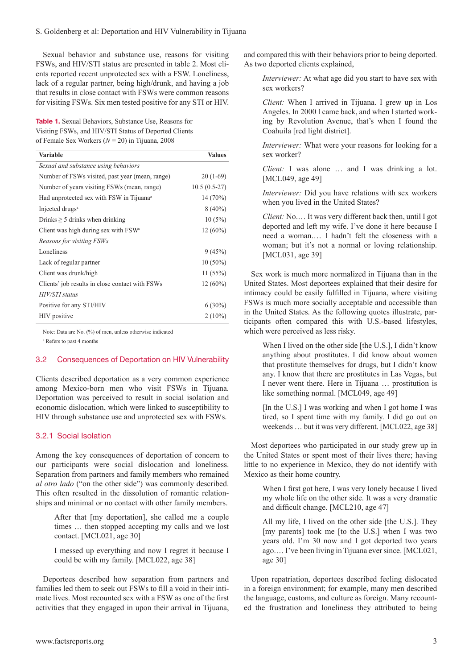Sexual behavior and substance use, reasons for visiting FSWs, and HIV/STI status are presented in table 2. Most clients reported recent unprotected sex with a FSW. Loneliness, lack of a regular partner, being high/drunk, and having a job that results in close contact with FSWs were common reasons for visiting FSWs. Six men tested positive for any STI or HIV.

Table 1. Sexual Behaviors, Substance Use, Reasons for Visiting FSWs, and HIV/STI Status of Deported Clients of Female Sex Workers (*N* = 20) in Tijuana, 2008

| Variable                                             | <b>Values</b>  |  |
|------------------------------------------------------|----------------|--|
| Sexual and substance using behaviors                 |                |  |
| Number of FSWs visited, past year (mean, range)      | $20(1-69)$     |  |
| Number of years visiting FSWs (mean, range)          | $10.5(0.5-27)$ |  |
| Had unprotected sex with FSW in Tijuana <sup>a</sup> | $14(70\%)$     |  |
| Injected drugs <sup>a</sup>                          | $8(40\%)$      |  |
| Drinks $\geq$ 5 drinks when drinking                 | $10(5\%)$      |  |
| Client was high during sex with $FSW^a$              | $12(60\%)$     |  |
| Reasons for visiting FSWs                            |                |  |
| Loneliness                                           | 9(45%)         |  |
| Lack of regular partner                              | $10(50\%)$     |  |
| Client was drunk/high                                | 11(55%)        |  |
| Clients' job results in close contact with FSWs      | $12(60\%)$     |  |
| HIV/STI status                                       |                |  |
| Positive for any STI/HIV                             | $6(30\%)$      |  |
| HIV positive                                         | $2(10\%)$      |  |

Note: Data are No. (%) of men, unless otherwise indicated

a Refers to past 4 months

#### 3.2 Consequences of Deportation on HIV Vulnerability

Clients described deportation as a very common experience among Mexico-born men who visit FSWs in Tijuana. Deportation was perceived to result in social isolation and economic dislocation, which were linked to susceptibility to HIV through substance use and unprotected sex with FSWs.

#### 3.2.1 Social Isolation

Among the key consequences of deportation of concern to our participants were social dislocation and loneliness. Separation from partners and family members who remained *al otro lado* ("on the other side") was commonly described. This often resulted in the dissolution of romantic relationships and minimal or no contact with other family members.

After that [my deportation], she called me a couple times … then stopped accepting my calls and we lost contact. [MCL021, age 30]

I messed up everything and now I regret it because I could be with my family. [MCL022, age 38]

Deportees described how separation from partners and families led them to seek out FSWs to fill a void in their intimate lives. Most recounted sex with a FSW as one of the first activities that they engaged in upon their arrival in Tijuana,

and compared this with their behaviors prior to being deported. As two deported clients explained,

*Interviewer:* At what age did you start to have sex with sex workers?

*Client:* When I arrived in Tijuana. I grew up in Los Angeles. In 2000 I came back, and when I started working by Revolution Avenue, that's when I found the Coahuila [red light district].

*Interviewer:* What were your reasons for looking for a sex worker?

*Client:* I was alone … and I was drinking a lot. [MCL049, age 49]

*Interviewer:* Did you have relations with sex workers when you lived in the United States?

*Client:* No.… It was very different back then, until I got deported and left my wife. I've done it here because I need a woman.… I hadn't felt the closeness with a woman; but it's not a normal or loving relationship. [MCL031, age 39]

Sex work is much more normalized in Tijuana than in the United States. Most deportees explained that their desire for intimacy could be easily fulfilled in Tijuana, where visiting FSWs is much more socially acceptable and accessible than in the United States. As the following quotes illustrate, participants often compared this with U.S.-based lifestyles, which were perceived as less risky.

When I lived on the other side [the U.S.], I didn't know anything about prostitutes. I did know about women that prostitute themselves for drugs, but I didn't know any. I know that there are prostitutes in Las Vegas, but I never went there. Here in Tijuana … prostitution is like something normal. [MCL049, age 49]

[In the U.S.] I was working and when I got home I was tired, so I spent time with my family. I did go out on weekends … but it was very different. [MCL022, age 38]

Most deportees who participated in our study grew up in the United States or spent most of their lives there; having little to no experience in Mexico, they do not identify with Mexico as their home country.

When I first got here, I was very lonely because I lived my whole life on the other side. It was a very dramatic and difficult change. [MCL210, age 47]

All my life, I lived on the other side [the U.S.]. They [my parents] took me [to the U.S.] when I was two years old. I'm 30 now and I got deported two years ago.… I've been living in Tijuana ever since. [MCL021, age 30]

Upon repatriation, deportees described feeling dislocated in a foreign environment; for example, many men described the language, customs, and culture as foreign. Many recounted the frustration and loneliness they attributed to being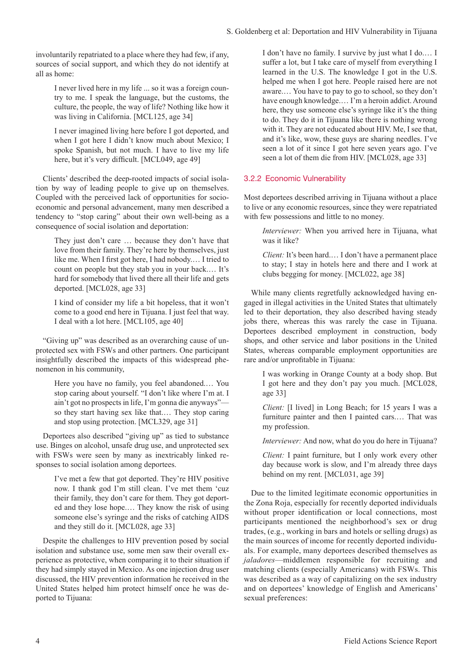involuntarily repatriated to a place where they had few, if any, sources of social support, and which they do not identify at all as home:

I never lived here in my life ... so it was a foreign country to me. I speak the language, but the customs, the culture, the people, the way of life? Nothing like how it was living in California. [MCL125, age 34]

I never imagined living here before I got deported, and when I got here I didn't know much about Mexico; I spoke Spanish, but not much. I have to live my life here, but it's very difficult. [MCL049, age 49]

Clients' described the deep-rooted impacts of social isolation by way of leading people to give up on themselves. Coupled with the perceived lack of opportunities for socioeconomic and personal advancement, many men described a tendency to "stop caring" about their own well-being as a consequence of social isolation and deportation:

They just don't care … because they don't have that love from their family. They're here by themselves, just like me. When I first got here, I had nobody.… I tried to count on people but they stab you in your back.… It's hard for somebody that lived there all their life and gets deported. [MCL028, age 33]

I kind of consider my life a bit hopeless, that it won't come to a good end here in Tijuana. I just feel that way. I deal with a lot here. [MCL105, age 40]

"Giving up" was described as an overarching cause of unprotected sex with FSWs and other partners. One participant insightfully described the impacts of this widespread phenomenon in his community,

Here you have no family, you feel abandoned.… You stop caring about yourself. "I don't like where I'm at. I ain't got no prospects in life, I'm gonna die anyways" so they start having sex like that.… They stop caring and stop using protection. [MCL329, age 31]

Deportees also described "giving up" as tied to substance use. Binges on alcohol, unsafe drug use, and unprotected sex with FSWs were seen by many as inextricably linked responses to social isolation among deportees.

I've met a few that got deported. They're HIV positive now. I thank god I'm still clean. I've met them 'cuz their family, they don't care for them. They got deported and they lose hope.… They know the risk of using someone else's syringe and the risks of catching AIDS and they still do it. [MCL028, age 33]

Despite the challenges to HIV prevention posed by social isolation and substance use, some men saw their overall experience as protective, when comparing it to their situation if they had simply stayed in Mexico. As one injection drug user discussed, the HIV prevention information he received in the United States helped him protect himself once he was deported to Tijuana:

I don't have no family. I survive by just what I do.… I suffer a lot, but I take care of myself from everything I learned in the U.S. The knowledge I got in the U.S. helped me when I got here. People raised here are not aware.… You have to pay to go to school, so they don't have enough knowledge.… I'm a heroin addict. Around here, they use someone else's syringe like it's the thing to do. They do it in Tijuana like there is nothing wrong with it. They are not educated about HIV. Me, I see that, and it's like, wow, these guys are sharing needles. I've seen a lot of it since I got here seven years ago. I've seen a lot of them die from HIV. [MCL028, age 33]

# 3.2.2 Economic Vulnerability

Most deportees described arriving in Tijuana without a place to live or any economic resources, since they were repatriated with few possessions and little to no money.

*Interviewer:* When you arrived here in Tijuana, what was it like?

*Client:* It's been hard.... I don't have a permanent place to stay; I stay in hotels here and there and I work at clubs begging for money. [MCL022, age 38]

While many clients regretfully acknowledged having engaged in illegal activities in the United States that ultimately led to their deportation, they also described having steady jobs there, whereas this was rarely the case in Tijuana. Deportees described employment in construction, body shops, and other service and labor positions in the United States, whereas comparable employment opportunities are rare and/or unprofitable in Tijuana:

I was working in Orange County at a body shop. But I got here and they don't pay you much. [MCL028, age 33]

*Client:* [I lived] in Long Beach; for 15 years I was a furniture painter and then I painted cars.… That was my profession.

*Interviewer:* And now, what do you do here in Tijuana?

*Client:* I paint furniture, but I only work every other day because work is slow, and I'm already three days behind on my rent. [MCL031, age 39]

Due to the limited legitimate economic opportunities in the Zona Roja, especially for recently deported individuals without proper identification or local connections, most participants mentioned the neighborhood's sex or drug trades, (e.g., working in bars and hotels or selling drugs) as the main sources of income for recently deported individuals. For example, many deportees described themselves as *jaladores*—middlemen responsible for recruiting and matching clients (especially Americans) with FSWs. This was described as a way of capitalizing on the sex industry and on deportees' knowledge of English and Americans' sexual preferences: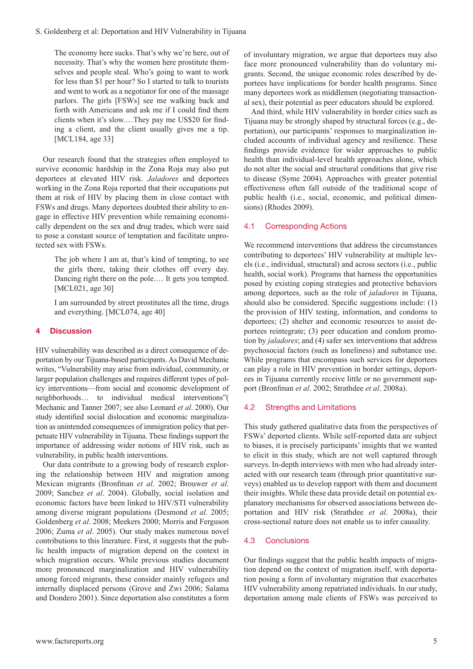The economy here sucks. That's why we're here, out of necessity. That's why the women here prostitute themselves and people steal. Who's going to want to work for less than \$1 per hour? So I started to talk to tourists and went to work as a negotiator for one of the massage parlors. The girls [FSWs] see me walking back and forth with Americans and ask me if I could find them clients when it's slow.…They pay me US\$20 for finding a client, and the client usually gives me a tip. [MCL184, age 33]

Our research found that the strategies often employed to survive economic hardship in the Zona Roja may also put deportees at elevated HIV risk. *Jaladores* and deportees working in the Zona Roja reported that their occupations put them at risk of HIV by placing them in close contact with FSWs and drugs. Many deportees doubted their ability to engage in effective HIV prevention while remaining economically dependent on the sex and drug trades, which were said to pose a constant source of temptation and facilitate unprotected sex with FSWs.

The job where I am at, that's kind of tempting, to see the girls there, taking their clothes off every day. Dancing right there on the pole.… It gets you tempted. [MCL021, age 30]

I am surrounded by street prostitutes all the time, drugs and everything. [MCL074, age 40]

## 4 Discussion

HIV vulnerability was described as a direct consequence of deportation by our Tijuana-based participants. As David Mechanic writes, "Vulnerability may arise from individual, community, or larger population challenges and requires different types of policy interventions—from social and economic development of neighborhoods… to individual medical interventions"( Mechanic and Tanner 2007; see also Leonard *et al*. 2000). Our study identified social dislocation and economic marginalization as unintended consequences of immigration policy that perpetuate HIV vulnerability in Tijuana. These findings support the importance of addressing wider notions of HIV risk, such as vulnerability, in public health interventions.

Our data contribute to a growing body of research exploring the relationship between HIV and migration among Mexican migrants (Bronfman *et al*. 2002; Brouwer *et al*. 2009; Sanchez *et al*. 2004). Globally, social isolation and economic factors have been linked to HIV/STI vulnerability among diverse migrant populations (Desmond *et al*. 2005; Goldenberg *et al*. 2008; Meekers 2000; Morris and Ferguson 2006; Zuma *et al*. 2005). Our study makes numerous novel contributions to this literature. First, it suggests that the public health impacts of migration depend on the context in which migration occurs. While previous studies document more pronounced marginalization and HIV vulnerability among forced migrants, these consider mainly refugees and internally displaced persons (Grove and Zwi 2006; Salama and Dondero 2001). Since deportation also constitutes a form

of involuntary migration, we argue that deportees may also face more pronounced vulnerability than do voluntary migrants. Second, the unique economic roles described by deportees have implications for border health programs. Since many deportees work as middlemen (negotiating transactional sex), their potential as peer educators should be explored.

And third, while HIV vulnerability in border cities such as Tijuana may be strongly shaped by structural forces (e.g., deportation), our participants' responses to marginalization included accounts of individual agency and resilience. These findings provide evidence for wider approaches to public health than individual-level health approaches alone, which do not alter the social and structural conditions that give rise to disease (Syme 2004). Approaches with greater potential effectiveness often fall outside of the traditional scope of public health (i.e., social, economic, and political dimensions) (Rhodes 2009).

## 4.1 Corresponding Actions

We recommend interventions that address the circumstances contributing to deportees' HIV vulnerability at multiple levels (i.e., individual, structural) and across sectors (i.e., public health, social work). Programs that harness the opportunities posed by existing coping strategies and protective behaviors among deportees, such as the role of *jaladores* in Tijuana, should also be considered. Specific suggestions include: (1) the provision of HIV testing, information, and condoms to deportees; (2) shelter and economic resources to assist deportees reintegrate; (3) peer education and condom promotion by *jaladores*; and (4) safer sex interventions that address psychosocial factors (such as loneliness) and substance use. While programs that encompass such services for deportees can play a role in HIV prevention in border settings, deportees in Tijuana currently receive little or no government support (Bronfman *et al*. 2002; Strathdee *et al*. 2008a).

#### 4.2 Strengths and Limitations

This study gathered qualitative data from the perspectives of FSWs' deported clients. While self-reported data are subject to biases, it is precisely participants' insights that we wanted to elicit in this study, which are not well captured through surveys. In-depth interviews with men who had already interacted with our research team (through prior quantitative surveys) enabled us to develop rapport with them and document their insights. While these data provide detail on potential explanatory mechanisms for observed associations between deportation and HIV risk (Strathdee *et al*. 2008a), their cross-sectional nature does not enable us to infer causality.

#### 4.3 Conclusions

Our findings suggest that the public health impacts of migration depend on the context of migration itself, with deportation posing a form of involuntary migration that exacerbates HIV vulnerability among repatriated individuals. In our study, deportation among male clients of FSWs was perceived to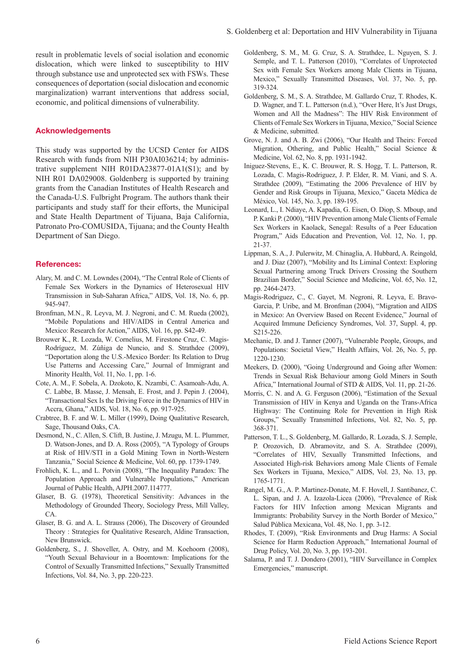result in problematic levels of social isolation and economic dislocation, which were linked to susceptibility to HIV through substance use and unprotected sex with FSWs. These consequences of deportation (social dislocation and economic marginalization) warrant interventions that address social, economic, and political dimensions of vulnerability.

#### Acknowledgements

This study was supported by the UCSD Center for AIDS Research with funds from NIH P30AI036214; by administrative supplement NIH R01DA23877-01A1(S1); and by NIH R01 DA029008. Goldenberg is supported by training grants from the Canadian Institutes of Health Research and the Canada-U.S. Fulbright Program. The authors thank their participants and study staff for their efforts, the Municipal and State Health Department of Tijuana, Baja California, Patronato Pro-COMUSIDA, Tijuana; and the County Health Department of San Diego.

#### References:

- Alary, M. and C. M. Lowndes (2004), "The Central Role of Clients of Female Sex Workers in the Dynamics of Heterosexual HIV Transmission in Sub-Saharan Africa," AIDS, Vol. 18, No. 6, pp. 945-947.
- Bronfman, M.N., R. Leyva, M. J. Negroni, and C. M. Rueda (2002), "Mobile Populations and HIV/AIDS in Central America and Mexico: Research for Action," AIDS, Vol. 16, pp. S42-49.
- Brouwer K., R. Lozada, W. Cornelius, M. Firestone Cruz, C. Magis-Rodríguez, M. Zúñiga de Nuncio, and S. Strathdee (2009), "Deportation along the U.S.-Mexico Border: Its Relation to Drug Use Patterns and Accessing Care," Journal of Immigrant and Minority Health, Vol. 11, No. 1, pp. 1-6.
- Cote, A. M., F. Sobela, A. Dzokoto, K. Nzambi, C. Asamoah-Adu, A. C. Labbe, B. Masse, J. Mensah, E. Frost, and J. Pepin J. (2004), "Transactional Sex Is the Driving Force in the Dynamics of HIV in Accra, Ghana," AIDS, Vol. 18, No. 6, pp. 917-925.
- Crabtree, B. F. and W. L. Miller (1999), Doing Qualitative Research, Sage, Thousand Oaks, CA.
- Desmond, N., C. Allen, S. Clift, B. Justine, J. Mzugu, M. L. Plummer, D. Watson-Jones, and D. A. Ross (2005), "A Typology of Groups at Risk of HIV/STI in a Gold Mining Town in North-Western Tanzania," Social Science & Medicine, Vol. 60, pp. 1739-1749.
- Frohlich, K. L., and L. Potvin (2008), "The Inequality Paradox: The Population Approach and Vulnerable Populations," American Journal of Public Health, AJPH.2007.114777.
- Glaser, B. G. (1978), Theoretical Sensitivity: Advances in the Methodology of Grounded Theory, Sociology Press, Mill Valley, CA.
- Glaser, B. G. and A. L. Strauss (2006), The Discovery of Grounded Theory : Strategies for Qualitative Research, Aldine Transaction, New Brunswick.
- Goldenberg, S., J. Shoveller, A. Ostry, and M. Koehoorn (2008), "Youth Sexual Behaviour in a Boomtown: Implications for the Control of Sexually Transmitted Infections," Sexually Transmitted Infections, Vol. 84, No. 3, pp. 220-223.
- Goldenberg, S. M., M. G. Cruz, S. A. Strathdee, L. Nguyen, S. J. Semple, and T. L. Patterson (2010), "Correlates of Unprotected Sex with Female Sex Workers among Male Clients in Tijuana, Mexico," Sexually Transmitted Diseases, Vol. 37, No. 5, pp. 319-324.
- Goldenberg, S. M., S. A. Strathdee, M. Gallardo Cruz, T. Rhodes, K. D. Wagner, and T. L. Patterson (n.d.), "Over Here, It's Just Drugs, Women and All the Madness": The HIV Risk Environment of Clients of Female Sex Workers in Tijuana, Mexico," Social Science & Medicine, submitted.
- Grove, N. J. and A. B. Zwi (2006), "Our Health and Theirs: Forced Migration, Othering, and Public Health," Social Science & Medicine, Vol. 62, No. 8, pp. 1931-1942.
- Iniguez-Stevens, E., K. C. Brouwer, R. S. Hogg, T. L. Patterson, R. Lozada, C. Magis-Rodriguez, J. P. Elder, R. M. Viani, and S. A. Strathdee (2009), "Estimating the 2006 Prevalence of HIV by Gender and Risk Groups in Tijuana, Mexico," Gaceta Médica de México, Vol. 145, No. 3, pp. 189-195.
- Leonard, L., I. Ndiaye, A. Kapadia, G. Eisen, O. Diop, S. Mboup, and P. Kanki P. (2000), "HIV Prevention among Male Clients of Female Sex Workers in Kaolack, Senegal: Results of a Peer Education Program," Aids Education and Prevention, Vol. 12, No. 1, pp. 21-37.
- Lippman, S. A., J. Pulerwitz, M. Chinaglia, A. Hubbard, A. Reingold, and J. Diaz (2007), "Mobility and Its Liminal Context: Exploring Sexual Partnering among Truck Drivers Crossing the Southern Brazilian Border," Social Science and Medicine, Vol. 65, No. 12, pp. 2464-2473.
- Magis-Rodriguez, C., C. Gayet, M. Negroni, R. Leyva, E. Bravo-Garcia, P. Uribe, and M. Bronfman (2004), "Migration and AIDS in Mexico: An Overview Based on Recent Evidence," Journal of Acquired Immune Deficiency Syndromes, Vol. 37, Suppl. 4, pp. S215-226.
- Mechanic, D. and J. Tanner (2007), "Vulnerable People, Groups, and Populations: Societal View," Health Affairs, Vol. 26, No. 5, pp. 1220-1230.
- Meekers, D. (2000), "Going Underground and Going after Women: Trends in Sexual Risk Behaviour among Gold Miners in South Africa," International Journal of STD & AIDS, Vol. 11, pp. 21-26.
- Morris, C. N. and A. G. Ferguson (2006), "Estimation of the Sexual Transmission of HIV in Kenya and Uganda on the Trans-Africa Highway: The Continuing Role for Prevention in High Risk Groups," Sexually Transmitted Infections, Vol. 82, No. 5, pp. 368-371.
- Patterson, T. L., S. Goldenberg, M. Gallardo, R. Lozada, S. J. Semple, P. Orozovich, D. Abramovitz, and S. A. Strathdee (2009), "Correlates of HIV, Sexually Transmitted Infections, and Associated High-risk Behaviors among Male Clients of Female Sex Workers in Tijuana, Mexico," AIDS, Vol. 23, No. 13, pp. 1765-1771.
- Rangel, M. G., A. P. Martinez-Donate, M. F. Hovell, J. Santibanez, C. L. Sipan, and J. A. Izazola-Licea (2006), "Prevalence of Risk Factors for HIV Infection among Mexican Migrants and Immigrants: Probability Survey in the North Border of Mexico," Salud Pública Mexicana, Vol. 48, No. 1, pp. 3-12.
- Rhodes, T. (2009), "Risk Environments and Drug Harms: A Social Science for Harm Reduction Approach," International Journal of Drug Policy, Vol. 20, No. 3, pp. 193-201.
- Salama, P. and T. J. Dondero (2001), "HIV Surveillance in Complex Emergencies," manuscript.